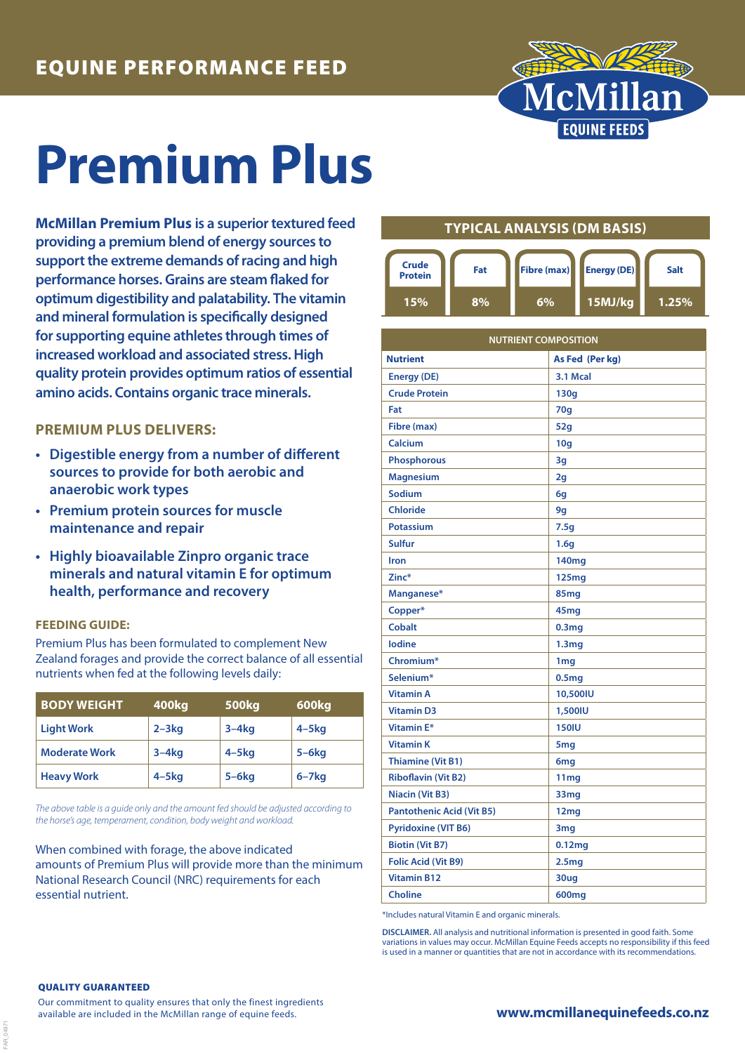

# **Premium Plus**

**McMillan Premium Plus is a superior textured feed providing a premium blend of energy sources to support the extreme demands of racing and high performance horses. Grains are steam flaked for optimum digestibility and palatability. The vitamin and mineral formulation is specifically designed for supporting equine athletes through times of increased workload and associated stress. High quality protein provides optimum ratios of essential amino acids. Contains organic trace minerals.**

## **PREMIUM PLUS DELIVERS:**

- **• Digestible energy from a number of different sources to provide for both aerobic and anaerobic work types**
- **• Premium protein sources for muscle maintenance and repair**
- **• Highly bioavailable Zinpro organic trace minerals and natural vitamin E for optimum health, performance and recovery**

### **FEEDING GUIDE:**

Premium Plus has been formulated to complement New Zealand forages and provide the correct balance of all essential nutrients when fed at the following levels daily:

| <b>BODY WEIGHT</b>   | 400kg      | <b>500kg</b> | 600kg        |
|----------------------|------------|--------------|--------------|
| <b>Light Work</b>    | $2 - 3kg$  | $3-4kg$      | $4-5kq$      |
| <b>Moderate Work</b> | $3-4kq$    | $4 - 5$ kg   | $5 - 6$ kg   |
| <b>Heavy Work</b>    | $4 - 5$ kg | $5 - 6$ kg   | $6 - 7$ $kg$ |

*The above table is a guide only and the amount fed should be adjusted according to the horse's age, temperament, condition, body weight and workload.*

When combined with forage, the above indicated amounts of Premium Plus will provide more than the minimum National Research Council (NRC) requirements for each essential nutrient.

## **TYPICAL ANALYSIS (DM BASIS)**



| <b>NUTRIENT COMPOSITION</b>      |                    |  |
|----------------------------------|--------------------|--|
| <b>Nutrient</b>                  | As Fed (Per kg)    |  |
| <b>Energy (DE)</b>               | 3.1 Mcal           |  |
| <b>Crude Protein</b>             | 130g               |  |
| Fat                              | 70q                |  |
| Fibre (max)                      | 52q                |  |
| Calcium                          | 10 <sub>g</sub>    |  |
| <b>Phosphorous</b>               | 3g                 |  |
| <b>Magnesium</b>                 | 2 <sub>g</sub>     |  |
| Sodium                           | 6g                 |  |
| <b>Chloride</b>                  | 9g                 |  |
| <b>Potassium</b>                 | 7.5g               |  |
| <b>Sulfur</b>                    | 1.6g               |  |
| Iron                             | 140mg              |  |
| Zinc*                            | <b>125mg</b>       |  |
| Manganese*                       | 85 <sub>mg</sub>   |  |
| Copper*                          | 45mg               |  |
| <b>Cobalt</b>                    | 0.3 <sub>mg</sub>  |  |
| lodine                           | 1.3 <sub>mg</sub>  |  |
| Chromium*                        | 1 <sub>mg</sub>    |  |
| Selenium*                        | 0.5 <sub>mg</sub>  |  |
| <b>Vitamin A</b>                 | 10,500IU           |  |
| <b>Vitamin D3</b>                | 1,500IU            |  |
| <b>Vitamin E*</b>                | <b>150IU</b>       |  |
| <b>Vitamin K</b>                 | 5 <sub>mg</sub>    |  |
| <b>Thiamine (Vit B1)</b>         | 6mg                |  |
| <b>Riboflavin (Vit B2)</b>       | 11mg               |  |
| Niacin (Vit B3)                  | 33mg               |  |
| <b>Pantothenic Acid (Vit B5)</b> | 12 <sub>mg</sub>   |  |
| <b>Pyridoxine (VIT B6)</b>       | 3 <sub>mg</sub>    |  |
| <b>Biotin (Vit B7)</b>           | 0.12 <sub>mg</sub> |  |
| <b>Folic Acid (Vit B9)</b>       | 2.5 <sub>mg</sub>  |  |
| <b>Vitamin B12</b>               | 30ug               |  |
| <b>Choline</b>                   | 600mg              |  |

\*Includes natural Vitamin E and organic minerals.

**DISCLAIMER.** All analysis and nutritional information is presented in good faith. Some variations in values may occur. McMillan Equine Feeds accepts no responsibility if this feed is used in a manner or quantities that are not in accordance with its recommendations.

#### QUALITY GUARANTEED

FAR\_04971

Our commitment to quality ensures that only the finest ingredients available are included in the McMillan range of equine feeds.